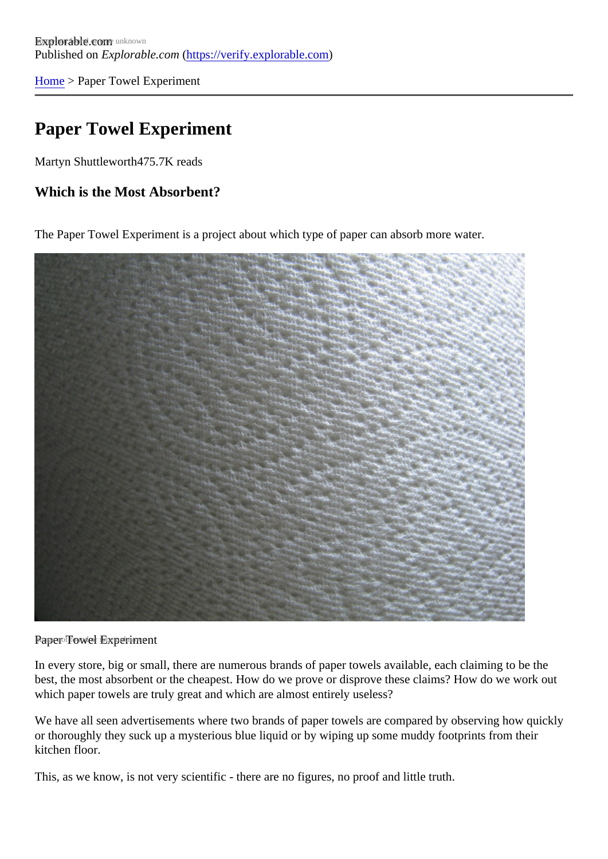[Home](https://verify.explorable.com/)> Paper Towel Experiment

# Paper Towel Experiment

Martyn Shuttlewort<sup>475.7K</sup> reads

Which is the Most Absorbent?

The Paper Towel Experiment is a project about which type of paper can absorb more water.

#### Paper Towel Experiment

In every store, big or small, there are numerous brands of paper towels available, each claiming to be the best, the most absorbent or the cheapest. How do we prove or disprove these claims? How do we work out which paper towels are truly great and which are almost entirely useless?

We have all seen advertisements where two brands of paper towels are compared by observing how quick or thoroughly they suck up a mysterious blue liquid or by wiping up some muddy footprints from their kitchen floor.

This, as we know, is not very scientific - there are no figures, no proof and little truth.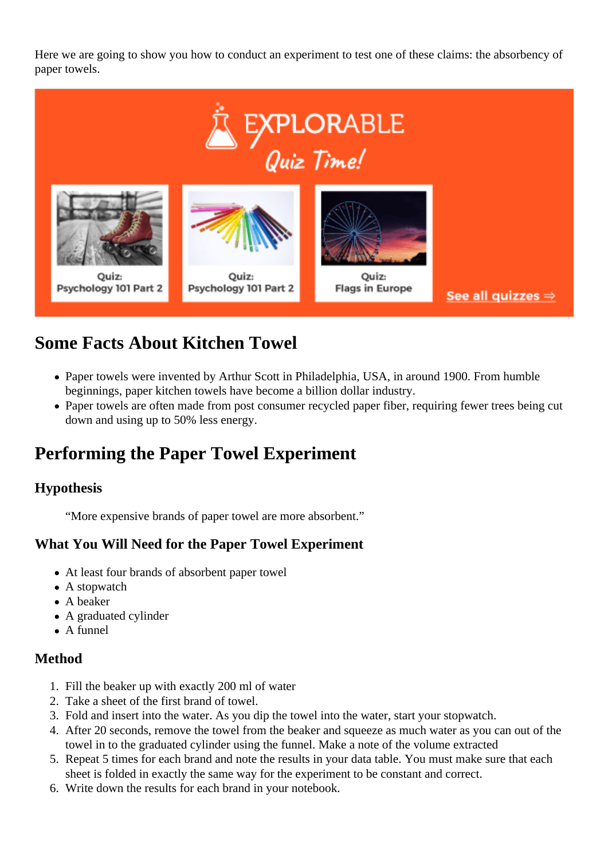Here we are going to show you how to conduct an experiment to test one of these claims: the absorbency of paper towels.



## **Some Facts About Kitchen Towel**

- Paper towels were invented by Arthur Scott in Philadelphia, USA, in around 1900. From humble beginnings, paper kitchen towels have become a billion dollar industry.
- Paper towels are often made from post consumer recycled paper fiber, requiring fewer trees being cut down and using up to 50% less energy.

## **Performing the Paper Towel Experiment**

### **Hypothesis**

"More expensive brands of paper towel are more absorbent."

### **What You Will Need for the Paper Towel Experiment**

- At least four brands of absorbent paper towel
- A stopwatch
- A beaker
- A graduated cylinder
- A funnel

### **Method**

- 1. Fill the beaker up with exactly 200 ml of water
- 2. Take a sheet of the first brand of towel.
- 3. Fold and insert into the water. As you dip the towel into the water, start your stopwatch.
- 4. After 20 seconds, remove the towel from the beaker and squeeze as much water as you can out of the towel in to the graduated cylinder using the funnel. Make a note of the volume extracted
- 5. Repeat 5 times for each brand and note the results in your data table. You must make sure that each sheet is folded in exactly the same way for the experiment to be constant and correct.
- 6. Write down the results for each brand in your notebook.